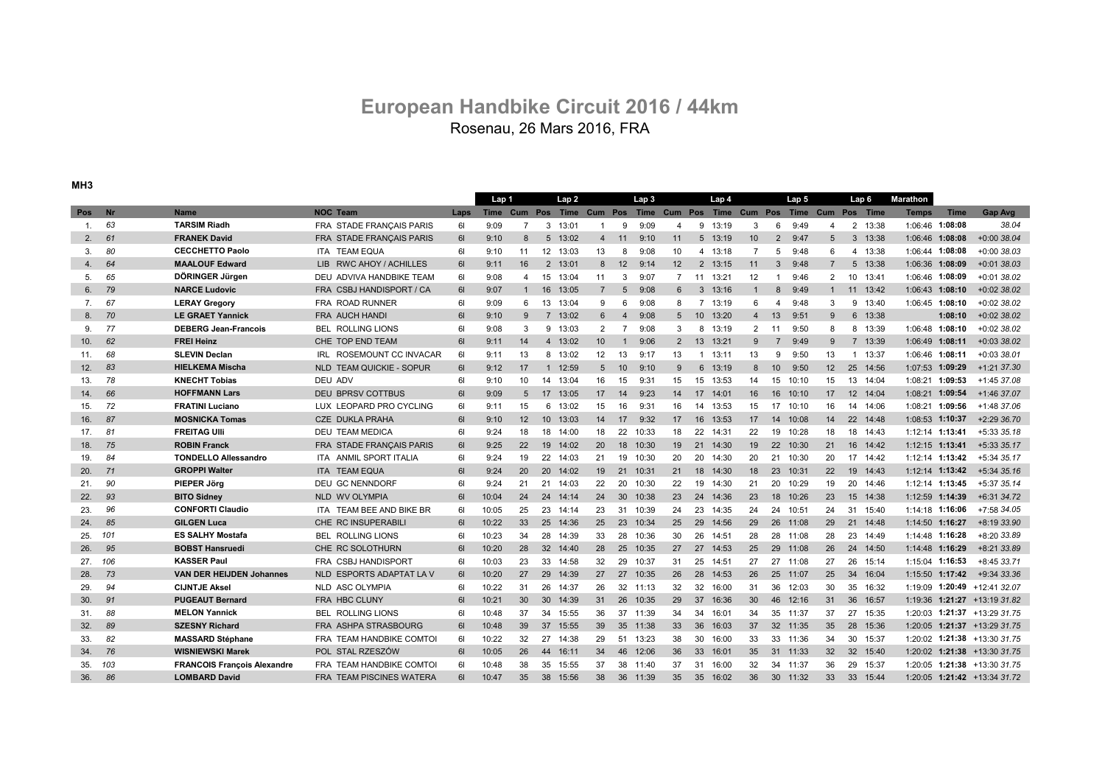## Rosenau, 26 Mars 2016, FRA **European Handbike Circuit 2016 / 44km**

**MH3**

|         |           |                                    |                                    |           | Lap <sub>1</sub> |                |                   | Lap <sub>2</sub> |                  |                | Lap <sub>3</sub> |                |                 | Lap 4 |                 |                | Lap 5 |                                                                       | Lap 6       |          | Marathon        |                   |                                |
|---------|-----------|------------------------------------|------------------------------------|-----------|------------------|----------------|-------------------|------------------|------------------|----------------|------------------|----------------|-----------------|-------|-----------------|----------------|-------|-----------------------------------------------------------------------|-------------|----------|-----------------|-------------------|--------------------------------|
| Pos     | <b>Nr</b> | <b>Name</b>                        | <b>NOC Team</b>                    | Laps      |                  |                |                   |                  |                  |                |                  |                |                 |       |                 |                |       | Time Cum Pos Time Cum Pos Time Cum Pos Time Cum Pos Time Cum Pos Time |             |          | <b>Temps</b>    | <b>Time</b>       | Gap Avg                        |
| 1.      | 63        | <b>TARSIM Riadh</b>                | FRA STADE FRANÇAIS PARIS           | 61        | 9:09             | $\overline{7}$ |                   | 3 13:01          |                  | 9              | 9:09             | 4              | 9               | 13:19 | 3               | 6              | 9:49  | 4                                                                     |             | 2 13:38  |                 | 1:06:46 1:08:08   | 38.04                          |
| 2.      | 61        | <b>FRANEK David</b>                | FRA STADE FRANÇAIS PARIS           | 61        | 9:10             | 8              | 5                 | 13:02            | $\overline{4}$   | 11             | 9:10             | 11             | $5^{\circ}$     | 13:19 | 10 <sup>1</sup> | 2              | 9:47  | 5                                                                     | 3           | 13:38    |                 | 1:06:46 1:08:08   | $+0:0038.04$                   |
| 3.      | 80        | <b>CECCHETTO Paolo</b>             | ITA TEAM EQUA                      | 61        | 9:10             | 11             | $12 \overline{ }$ | 13:03            | 13               | 8              | 9:08             | 10             | 4               | 13:18 | $\overline{7}$  | 5              | 9:48  | 6                                                                     | 4           | 13:38    |                 | 1:06:44 1:08:08   | $+0:0038.03$                   |
| 4.      | 64        | <b>MAALOUF Edward</b>              | <b>RWC AHOY / ACHILLES</b><br>LIB. | 61        | 9:11             | 16             | 2                 | 13:01            | 8                | 12             | 9:14             | 12             | 2               | 13:15 | 11              | 3              | 9:48  | $\overline{7}$                                                        | $5^{\circ}$ | 13:38    |                 | 1:06:36 1:08:09   | $+0:0138.03$                   |
| 5.      | 65        | DÖRINGER Jürgen                    | DEU ADVIVA HANDBIKE TEAM           | 61        | 9:08             | 4              | 15                | 13:04            | 11               | 3              | 9:07             | $\overline{7}$ | 11              | 13:21 | 12              | -1             | 9:46  | $\overline{2}$                                                        | 10          | 13:41    |                 | 1:06:46 1:08:09   | $+0:0138.02$                   |
| 6.      | 79        | <b>NARCE Ludovic</b>               | FRA CSBJ HANDISPORT / CA           | <b>61</b> | 9:07             | $\mathbf{1}$   | 16                | 13:05            | $\overline{7}$   | 5              | 9:08             | 6              | 3               | 13:16 | -1              | 8              | 9:49  | $\mathbf{1}$                                                          | 11          | 13:42    |                 | 1:06:43 1:08:10   | $+0.0238.02$                   |
| 7.      | 67        | <b>LERAY Gregory</b>               | FRA ROAD RUNNER                    | 61        | 9:09             | 6              | 13                | 13:04            | 9                | 6              | 9:08             | 8              | $\overline{7}$  | 13:19 | 6               | 4              | 9:48  | 3                                                                     | 9           | 13:40    |                 | 1:06:45 1:08:10   | $+0.0238.02$                   |
| 8.      | 70        | <b>LE GRAET Yannick</b>            | FRA AUCH HANDI                     | 61        | 9:10             | 9              | $7^{\circ}$       | 13:02            | 6                | $\overline{4}$ | 9:08             | 5              | 10 <sup>1</sup> | 13:20 | $\overline{4}$  | 13             | 9:51  | 9                                                                     | 6           | 13:38    |                 | 1:08:10           | $+0.0238.02$                   |
| 9.      | 77        | <b>DEBERG Jean-Francois</b>        | <b>BEL ROLLING LIONS</b>           | 61        | 9:08             | 3              | 9                 | 13:03            | 2                | 7              | 9:08             | 3              | 8               | 13:19 | $\overline{2}$  | -11            | 9:50  | 8                                                                     | 8           | 13:39    |                 | 1:06:48 1:08:10   | $+0.0238.02$                   |
| 10.     | 62        | <b>FREI Heinz</b>                  | CHE TOP END TEAM                   | 61        | 9:11             | 14             | $\overline{4}$    | 13:02            | 10 <sup>10</sup> | -1             | 9:06             | 2              | 13              | 13:21 | 9               | $\overline{7}$ | 9:49  | 9                                                                     |             | 7 13:39  |                 | 1:06:49 1:08:11   | $+0:0338.02$                   |
| 11.     | 68        | <b>SLEVIN Declan</b>               | ROSEMOUNT CC INVACAR<br>IRL        | 61        | 9:11             | 13             | 8                 | 13:02            | 12               | 13             | 9:17             | 13             | $\mathbf{1}$    | 13:11 | 13              | 9              | 9:50  | 13                                                                    | -1          | 13:37    | 1:06:46 1:08:11 |                   | $+0:0338.01$                   |
| 12.     | 83        | <b>HIELKEMA Mischa</b>             | <b>NLD TEAM QUICKIE - SOPUR</b>    | 61        | 9:12             | 17             | $\mathbf{1}$      | 12:59            | 5                | 10             | 9:10             | 9              | 6               | 13:19 | 8               | 10             | 9:50  | 12                                                                    | 25          | 14:56    |                 | 1:07:53 1:09:29   | $+1:21$ 37.30                  |
| 13.     | 78        | <b>KNECHT Tobias</b>               | DEU ADV                            | 61        | 9:10             | 10             | 14                | 13:04            | 16               | 15             | 9:31             | 15             | 15              | 13:53 | 14              | 15             | 10:10 | 15                                                                    | 13          | 14:04    |                 | 1:08:21 1:09:53   | +1:45 37.08                    |
| 14.     | 66        | <b>HOFFMANN Lars</b>               | <b>DEU BPRSV COTTBUS</b>           | 61        | 9:09             | 5              | 17                | 13:05            | 17               | 14             | 9:23             | 14             | 17              | 14:01 | 16              | 16             | 10:10 | 17                                                                    |             | 12 14:04 |                 | 1:08:21 1:09:54   | +1:46 37.07                    |
| 15.     | 72        | <b>FRATINI Luciano</b>             | LUX LEOPARD PRO CYCLING            | 61        | 9:11             | 15             | 6                 | 13:02            | 15               | 16             | 9:31             | 16             | 14              | 13:53 | 15              | 17             | 10:10 | 16                                                                    |             | 14 14:06 |                 | 1:08:21 1:09:56   | $+1:4837.06$                   |
| 16.     | 87        | <b>MOSNICKA Tomas</b>              | <b>CZE DUKLA PRAHA</b>             | 61        | 9:10             | 12             | 10 <sup>1</sup>   | 13:03            | 14               | 17             | 9:32             | 17             | 16              | 13:53 | 17              | 14             | 10:08 | 14                                                                    |             | 22 14:48 |                 | 1:08:53 1:10:37   | $+2:2936.70$                   |
| 17.     | 81        | <b>FREITAG UIII</b>                | <b>DEU TEAM MEDICA</b>             | 61        | 9:24             | 18             | 18                | 14:00            | 18               | 22             | 10:33            | 18             | 22              | 14:31 | 22              | 19             | 10:28 | 18                                                                    | 18          | 14:43    | 1:12:14 1:13:41 |                   | +5:33 35.18                    |
| 18.     | 75        | <b>ROBIN Franck</b>                | FRA STADE FRANÇAIS PARIS           | 61        | 9:25             | 22             | 19                | 14:02            | 20               | 18             | 10:30            | 19             | 21              | 14:30 | 19              | 22             | 10:30 | 21                                                                    | 16          | 14:42    |                 | 1:12:15 1:13:41   | +5:33 35.17                    |
| 19.     | 84        | <b>TONDELLO Allessandro</b>        | ITA ANMIL SPORT ITALIA             | 61        | 9:24             | 19             | 22                | 14:03            | 21               | 19             | 10:30            | 20             | 20              | 14:30 | 20              | 21             | 10:30 | 20                                                                    | 17          | 14:42    |                 | 1:12:14 1:13:42   | +5:34 35.17                    |
| 20.     | 71        | <b>GROPPI Walter</b>               | <b>ITA TEAM EQUA</b>               | 61        | 9:24             | 20             | 20                | 14:02            | 19               | 21             | 10:31            | 21             | 18              | 14:30 | 18              | 23             | 10:31 | 22                                                                    | 19          | 14:43    |                 | $1:12:14$ 1:13:42 | $+5:34$ 35.16                  |
| 21.     | 90        | <b>PIEPER Jörg</b>                 | DEU GC NENNDORF                    | 61        | 9:24             | 21             | 21                | 14:03            | 22               | -20            | 10:30            | 22             | 19              | 14:30 | 21              | 20             | 10:29 | 19                                                                    | 20          | 14:46    |                 | 1:12:14 1:13:45   | +5:37 35.14                    |
| 22.     | 93        | <b>BITO Sidney</b>                 | NLD WV OLYMPIA                     | 6I        | 10:04            | 24             | 24                | 14:14            | 24               | 30             | 10:38            | 23             | 24              | 14:36 | 23              | 18             | 10:26 | 23                                                                    |             | 15 14:38 |                 | 1:12:59 1:14:39   | $+6:3134.72$                   |
| 23.     | 96        | <b>CONFORTI Claudio</b>            | ITA TEAM BEE AND BIKE BR           | 61        | 10:05            | 25             | 23                | 14:14            | 23               | 31             | 10:39            | 24             | 23              | 14:35 | 24              | 24             | 10:51 | 24                                                                    | 31          | 15:40    |                 | 1:14:18 1:16:06   | +7:58 34.05                    |
| 24.     | 85        | <b>GILGEN Luca</b>                 | CHE RC INSUPERABILI                | 61        | 10:22            | 33             | 25                | 14:36            | 25               | 23             | 10:34            | 25             | 29              | 14:56 | 29              | 26             | 11:08 | 29                                                                    | 21          | 14:48    |                 | 1:14:50 1:16:27   | $+8:1933.90$                   |
| 25.     | 101       | <b>ES SALHY Mostafa</b>            | <b>BEL ROLLING LIONS</b>           | 61        | 10:23            | 34             | 28                | 14:39            | 33               | 28             | 10:36            | 30             | 26              | 14:51 | 28              | 28             | 11:08 | 28                                                                    | 23          | 14:49    |                 | 1:14:48 1:16:28   | +8:20 33.89                    |
| 26.     | 95        | <b>BOBST Hansruedi</b>             | CHE RC SOLOTHURN                   | 61        | 10:20            | 28             | 32                | 14:40            | 28               | 25             | 10:35            | 27             | 27              | 14:53 | 25              | 29             | 11:08 | 26                                                                    | 24          | 14:50    |                 | 1:14:48 1:16:29   | +8:21 33.89                    |
| 27. 106 |           | <b>KASSER Paul</b>                 | FRA CSBJ HANDISPORT                | 61        | 10:03            | 23             | 33                | 14:58            | 32               | 29             | 10:37            | 31             | 25              | 14:51 | 27              | 27             | 11:08 | 27                                                                    | 26          | 15:14    |                 | 1:15:04 1:16:53   | +8:45 33.71                    |
| 28.     | 73        | <b>VAN DER HEIJDEN Johannes</b>    | NLD ESPORTS ADAPTAT LA V           | 6I        | 10:20            | 27             | 29                | 14:39            | 27               | 27             | 10:35            | 26             | 28              | 14:53 | 26              | 25             | 11:07 | 25                                                                    | 34          | 16:04    |                 | 1:15:50 1:17:42   | +9:34 33.36                    |
| 29.     | 94        | <b>CIJNTJE Aksel</b>               | <b>NLD ASC OLYMPIA</b>             | 61        | 10:22            | 31             | 26                | 14:37            | 26               | 32             | 11:13            | 32             | 32              | 16:00 | 31              | 36             | 12:03 | 30                                                                    | 35          | 16:32    |                 |                   | 1:19:09 1:20:49 +12:41 32.07   |
| 30.     | 91        | <b>PUGEAUT Bernard</b>             | <b>FRA HBC CLUNY</b>               | 61        | 10:21            | 30             | 30                | 14:39            | 31               | 26             | 10:35            | 29             | 37              | 16:36 | 30              | 46             | 12:16 | 31                                                                    | 36          | 16:57    |                 |                   | $1:19:36$ 1:21:27 +13:19 31.82 |
| 31.     | 88        | <b>MELON Yannick</b>               | <b>BEL ROLLING LIONS</b>           | 61        | 10:48            | 37             | 34                | 15:55            | 36               | 37             | 11:39            | 34             | 34              | 16:01 | 34              | 35             | 11:37 | 37                                                                    | 27          | 15:35    |                 |                   | 1:20:03 1:21:37 +13:29 31.75   |
| 32.     | 89        | <b>SZESNY Richard</b>              | FRA ASHPA STRASBOURG               | 61        | 10:48            | 39             | 37                | 15:55            | 39               | 35             | 11:38            | 33             | 36              | 16:03 | 37              | 32             | 11:35 | 35                                                                    | 28          | 15:36    |                 |                   | 1:20:05 1:21:37 +13:29 31.75   |
| 33.     | 82        | <b>MASSARD Stéphane</b>            | FRA TEAM HANDBIKE COMTOI           | 61        | 10:22            | 32             | 27                | 14:38            | 29               | 51             | 13:23            | 38             | 30              | 16:00 | 33              | 33             | 11:36 | 34                                                                    | 30          | 15:37    |                 |                   | 1:20:02 1:21:38 +13:30 31.75   |
| 34.     | 76        | <b>WISNIEWSKI Marek</b>            | POL STAL RZESZÓW                   | 6I        | 10:05            | 26             | 44                | 16:11            | 34               | 46             | 12:06            | 36             | 33              | 16:01 | 35              | 31             | 11:33 | 32                                                                    | 32          | 15:40    |                 |                   | 1:20:02 1:21:38 +13:30 31.75   |
| 35.     | 103       | <b>FRANCOIS François Alexandre</b> | FRA TEAM HANDBIKE COMTOI           | 61        | 10:48            | 38             | 35                | 15:55            | 37               | 38             | 11:40            | 37             | 31              | 16:00 | 32              | 34             | 11:37 | 36                                                                    | 29          | 15:37    |                 |                   | 1:20:05 1:21:38 +13:30 31.75   |
| 36.     | 86        | <b>LOMBARD David</b>               | <b>FRA TEAM PISCINES WATERA</b>    | 61        | 10:47            | 35             | 38                | 15:56            | 38               | 36             | 11:39            | 35             | 35              | 16:02 | 36              | 30             | 11:32 | 33                                                                    |             | 33 15:44 |                 |                   | $1:20:05$ 1:21:42 +13:34 31.72 |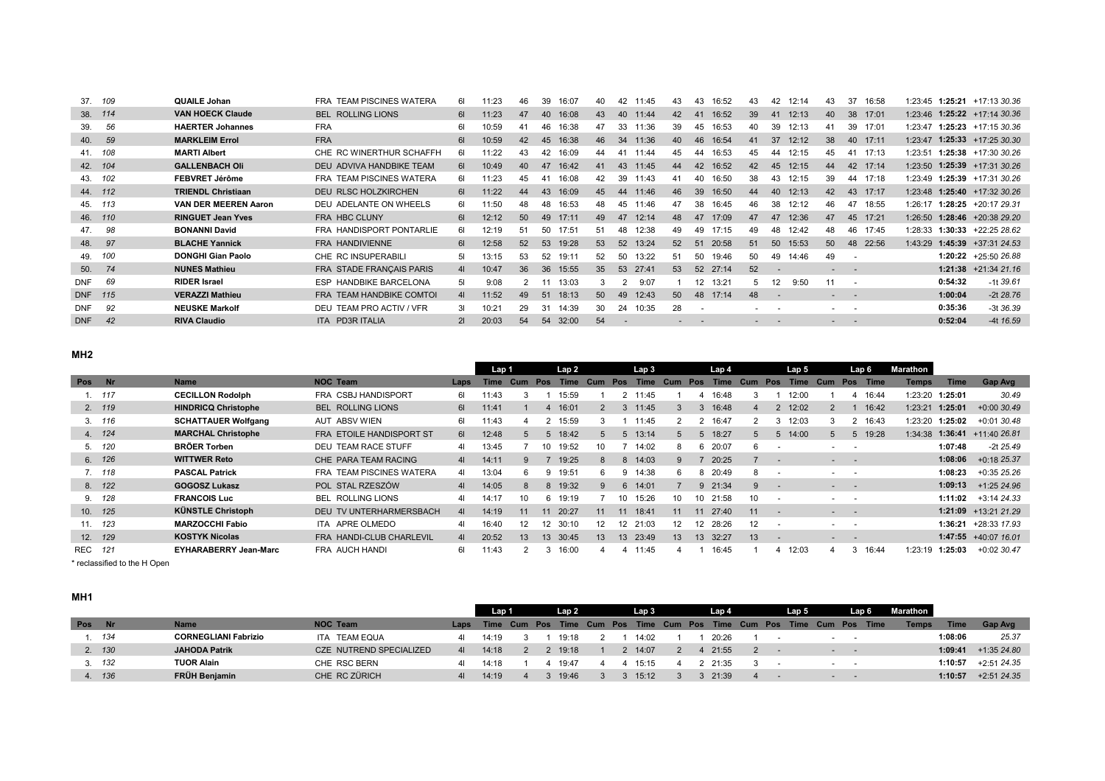| 37.<br>109        | <b>QUAILE Johan</b>         | <b>TEAM PISCINES WATERA</b><br><b>FRA</b> | 61 | 11:23 | 46 | 39<br>16:07 | 40 | 42                       | 11:45 | 43 | 43                | 16:52    | 43 | 42                | 12:14 | 43                       | 37                       | 16:58    | 1:23:45 |         | $1:25:21$ +17:13 30.36 |
|-------------------|-----------------------------|-------------------------------------------|----|-------|----|-------------|----|--------------------------|-------|----|-------------------|----------|----|-------------------|-------|--------------------------|--------------------------|----------|---------|---------|------------------------|
| 38. 114           | <b>VAN HOECK Claude</b>     | <b>BEL ROLLING LIONS</b>                  | 6I | 11:23 | 47 | 16:08<br>40 | 43 | 40                       | 11:44 | 42 | 41                | 16:52    | 39 | 41                | 12:13 | 40                       |                          | 38 17:01 | 1:23:46 |         | $1:25:22$ +17:14 30.36 |
| 56<br>39.         | <b>HAERTER Johannes</b>     | <b>FRA</b>                                | 61 | 10:59 | 41 | 16:38<br>46 | 47 | 33                       | 11:36 | 39 | 45                | 16:53    | 40 | 39                | 12:13 | 41                       | 39 17:01                 |          | 1:23:47 |         | $1:25:23$ +17:15 30.36 |
| 59<br>40.         | <b>MARKLEIM Errol</b>       | <b>FRA</b>                                | 61 | 10:59 | 42 | 16:38<br>45 | 46 | 34                       | 11:36 | 40 | 46                | 16:54    | 41 | 37                | 12:12 | 38                       | 40 17:11                 |          | 1:23:47 |         | $1:25:33 +17:2530.30$  |
| 41. 108           | <b>MARTI Albert</b>         | CHE RC WINERTHUR SCHAFFH                  | 61 | 11:22 | 43 | 16:09<br>42 | 44 | 41                       | 11:44 | 45 | 44                | 16:53    | 45 | 44                | 12:15 | 45                       | 41                       | 17:13    | 1:23:51 |         | 1:25:38 +17:30 30.26   |
| 42. 104           | <b>GALLENBACH Oli</b>       | DEU ADVIVA HANDBIKE TEAM                  | 61 | 10:49 | 40 | 16:42<br>47 | 41 | 43                       | 11:45 | 44 | 42                | 16:52    | 42 | 45                | 12:15 | 44                       |                          | 42 17:14 | 1:23:50 |         | $1:25:39$ +17:31 30.26 |
| 43. 102           | FEBVRET Jérôme              | FRA TEAM PISCINES WATERA                  | 61 | 11:23 | 45 | 16:08<br>41 | 42 | 39                       | 11:43 | 41 | 40                | 16:50    | 38 | 43                | 12:15 | 39                       | 44                       | 17:18    | 1:23:49 |         | 1:25:39 +17:31 30.26   |
| 44. 112           | <b>TRIENDL Christiaan</b>   | DEU RLSC HOLZKIRCHEN                      | 61 | 11:22 | 44 | 16:09<br>43 | 45 | 44                       | 11:46 | 46 | 39                | 16:50    | 44 | 40                | 12:13 | 42                       | 43                       | 17:17    | 1:23:48 |         | $1:25:40$ +17:32 30.26 |
| 45. 113           | <b>VAN DER MEEREN Aaron</b> | DEU ADELANTE ON WHEELS                    | 61 | 11:50 | 48 | 16:53<br>48 | 48 | 45                       | 11:46 | 47 | 38                | 16:45    | 46 | 38                | 12:12 | 46                       | 47                       | 18:55    | 1:26:17 |         | $1:28:25$ +20:17 29.31 |
| 46. 110           | <b>RINGUET Jean Yves</b>    | <b>FRA HBC CLUNY</b>                      | 61 | 12:12 | 50 | 17:11<br>49 | 49 | 47                       | 12:14 | 48 | 47                | 17:09    | 47 | 47                | 12:36 | 47                       | 45                       | 17:21    | 1:26:50 |         | 1:28:46 +20:38 29.20   |
| 98<br>47.         | <b>BONANNI David</b>        | FRA HANDISPORT PONTARLIE                  | 61 | 12:19 | 51 | 50<br>17:51 | 51 | 48                       | 12:38 | 49 | 49                | 17:15    | 49 | 48                | 12:42 | 48                       | 46                       | 17:45    | 1:28:33 |         | $1:30:33$ +22:25 28.62 |
| 97<br>48.         | <b>BLACHE Yannick</b>       | FRA HANDIVIENNE                           | 61 | 12:58 | 52 | 53<br>19:28 | 53 | 52                       | 13:24 | 52 | 51                | 20:58    | 51 | 50                | 15:53 | 50                       |                          | 48 22:56 | 1:43:29 |         | $1:45:39$ +37:31 24.53 |
| 49. 100           | <b>DONGHI Gian Paolo</b>    | CHE RC INSUPERABILI                       | 51 | 13:15 | 53 | 52<br>19:11 | 52 | 50                       | 13:22 | 51 | 50                | 19:46    | 50 | 49                | 14:46 | 49                       |                          |          |         |         | $1:20:22$ +25:50 26.88 |
| 74<br>50.         | <b>NUNES Mathieu</b>        | FRA STADE FRANÇAIS PARIS                  | 41 | 10:47 | 36 | 36<br>15:55 | 35 | 53                       | 27:41 | 53 |                   | 52 27:14 | 52 |                   |       |                          |                          |          |         |         | $1:21:38$ +21:34 21.16 |
| 69<br><b>DNF</b>  | <b>RIDER Israel</b>         | ESP HANDBIKE BARCELONA                    | 51 | 9:08  |    | 13:03       | 3  |                          | 9:07  |    | $12 \overline{ }$ | 13:21    | 5  | $12 \overline{ }$ | 9:50  |                          | $\overline{\phantom{a}}$ |          |         | 0:54:32 | $-1139.61$             |
| DNF 115           | <b>VERAZZI Mathieu</b>      | FRA TEAM HANDBIKE COMTOI                  | 41 | 11:52 | 49 | 18:13<br>51 | 50 | 49                       | 12:43 | 50 | 48                | 17:14    | 48 | $\overline{a}$    |       | $\sim$                   |                          |          |         | 1:00:04 | $-2t$ 28.76            |
| 92<br><b>DNF</b>  | <b>NEUSKE Markolf</b>       | DEU TEAM PRO ACTIV / VFR                  | 3I | 10:21 | 29 | 14:39<br>31 | 30 | 24                       | 10:35 | 28 |                   |          |    |                   |       | ۰                        |                          |          |         | 0:35:36 | $-3t$ 36.39            |
| <b>DNF</b><br>-42 | <b>RIVA Claudio</b>         | ITA PD3R ITALIA                           | 21 | 20:03 | 54 | 32:00<br>54 | 54 | $\overline{\phantom{a}}$ |       |    |                   |          |    | $\sim$            |       | $\overline{\phantom{a}}$ |                          |          |         | 0:52:04 | $-4t$ 16.59            |
|                   |                             |                                           |    |       |    |             |    |                          |       |    |                   |          |    |                   |       |                          |                          |          |         |         |                        |

## **MH2**

|         |        |                              |                          |                | Lap 1       |                   |                 | Lap2    |              |     | Lap 3       |              |                 | Lap <sub>4</sub> |     |        | Lap 5       |     | Lap 6                    |             | Marathon     |         |                              |
|---------|--------|------------------------------|--------------------------|----------------|-------------|-------------------|-----------------|---------|--------------|-----|-------------|--------------|-----------------|------------------|-----|--------|-------------|-----|--------------------------|-------------|--------------|---------|------------------------------|
| Pos Nr  |        | <b>Name</b>                  | <b>NOC Team</b>          | Laps           | <b>Time</b> | Cum               | Pos             | Time    | Cum          | Pos | <b>Time</b> | Cum          | Pos             | Time             | Cum | Pos    | <b>Time</b> | Cum | Pos                      | <b>Time</b> | <b>Temps</b> | Time    | Gap Avg                      |
|         | 1.117  | <b>CECILLON Rodolph</b>      | FRA CSBJ HANDISPORT      | 61             | 11:43       |                   |                 | 15:59   |              |     | 2 11:45     |              | 4               | 16:48            |     |        | 12:00       |     | 4                        | 16:44       | :23:20       | 1:25:01 | 30.49                        |
|         | 2. 119 | <b>HINDRICQ Christophe</b>   | <b>BEL ROLLING LIONS</b> | 61             | 11:41       |                   | 4               | 16:01   |              | 3   | 11:45       |              | 3               | 16:48            |     |        | 12:02       |     |                          | 16:42       | 1:23:21      | 1:25:01 | $+0.0030.49$                 |
|         | 3.116  | <b>SCHATTAUER Wolfgang</b>   | AUT ABSV WIEN            | 61             | 11:43       | 4                 |                 | 15:59   | 3            |     | 11:45       |              |                 | 16:47            |     | 3      | 12:03       | 3   |                          | 16:43       | :23:20       | 1:25:02 | +0:01 30.48                  |
|         | 4. 124 | <b>MARCHAL Christophe</b>    | FRA ETOILE HANDISPORT ST | 61             | 12:48       | 5                 | 5               | 18:42   | 5            | 5   | 13:14       | 5            | -5              | 18:27            | 5   | 5      | 14:00       | 5   | 5                        | 19:28       |              |         | 1:34:38 1:36:41 +11:40 26.81 |
|         | 5. 120 | <b>BRÖER Torben</b>          | DEU TEAM RACE STUFF      | 41             | 13:45       |                   | 10              | 19:52   | 10           |     | 14:02       | 8            |                 | 6 20:07          | 6   | $\sim$ |             |     | $\overline{\phantom{a}}$ |             |              | 1:07:48 | -2t 25.49                    |
|         | 6. 126 | <b>WITTWER Reto</b>          | CHE PARA TEAM RACING     | 41             | 14:11       | g                 |                 | 19:25   | 8            | 8   | 14:03       | $\mathbf{Q}$ |                 | 20:25            |     | $\sim$ |             |     | $ -$                     |             |              | 1:08:06 | +0:18 25.37                  |
|         | 7. 118 | <b>PASCAL Patrick</b>        | FRA TEAM PISCINES WATERA | 41             | 13:04       | 6                 | 9               | 19:51   | 6.           | -9  | 14:38       | 6            |                 | 8 20:49          | 8   | $\sim$ |             |     |                          |             |              | 1:08:23 | +0:35 25.26                  |
|         | 8. 122 | <b>GOGOSZ Lukasz</b>         | POL STAL RZESZÓW         | 41             | 14:05       | 8                 |                 | 8 19:32 | $\mathbf{Q}$ | 6   | 14:01       |              |                 | 9 21:34          | 9   |        |             |     | $ -$                     |             |              | 1:09:13 | +1:25 24.96                  |
|         | 9. 128 | <b>FRANCOIS Luc</b>          | <b>BEL ROLLING LIONS</b> | 41             | 14:17       | 10                |                 | 6 19:19 |              | 10  | 15:26       | 10           | 10              | 21:58            | 10  | $\sim$ |             |     |                          |             |              | 1:11:02 | +3:14 24.33                  |
| 10. 125 |        | <b>KÜNSTLE Christoph</b>     | DEU TV UNTERHARMERSBACH  | 4 <sup>1</sup> | 14:19       | 11                | 11              | 20:27   | 11           | 11  | 18:41       | 11           | 11              | 27:40            | 11  | $\sim$ |             |     | $ -$                     |             |              |         | $1:21:09$ +13:21 21.29       |
| 11. 123 |        | <b>MARZOCCHI Fabio</b>       | ITA APRE OLMEDO          | 41             | 16:40       | $12 \overline{ }$ | 12 <sup>2</sup> | 30:10   | 12           |     | 12 21:03    | 12           |                 | 12 28:26         | 12  | $\sim$ |             |     | $\sim$                   |             |              |         | $1:36:21 +28:3317.93$        |
| 12. 129 |        | <b>KOSTYK Nicolas</b>        | FRA HANDI-CLUB CHARLEVIL | 4 <sup>1</sup> | 20:52       | 13                | 13 <sup>2</sup> | 30:45   | 13           | 13  | 23:49       | 13           | 13 <sup>2</sup> | 32:27            | 13  | $\sim$ |             | $-$ | $\sim$ $\sim$            |             |              |         | 1:47:55 +40:07 16.01         |
| REC 121 |        | <b>EYHARABERRY Jean-Marc</b> | FRA AUCH HANDI           | 61             | 11:43       |                   | 3               | 16:00   | 4            | 4   | 11:45       | 4            |                 | 16:45            |     | 4      | 12:03       | 4   | 3                        | 16:44       | 1:23:19      | 1:25:03 | +0:02 30.47                  |

\* reclassified to the H Open

## **MH1**

|            |        |                             |                         |                | Lap 1                                                                      |  | Lap2    |  | Lap <sub>3</sub> |  | Lap 4          |        | Lap 5 | Lap 6                      | Marathon     |             |             |
|------------|--------|-----------------------------|-------------------------|----------------|----------------------------------------------------------------------------|--|---------|--|------------------|--|----------------|--------|-------|----------------------------|--------------|-------------|-------------|
| <b>Pos</b> |        | <b>Name</b>                 | <b>NOC Team</b>         |                | Laps Time Cum Pos Time Cum Pos Time Cum Pos Time Cum Pos Time Cum Pos Time |  |         |  |                  |  |                |        |       |                            | <b>Temps</b> | <b>Time</b> | Gap Avg     |
|            | . 134  | <b>CORNEGLIANI Fabrizio</b> | ITA TEAM EQUA           | 41             | 14:19                                                                      |  | 19.18   |  | 14:02            |  | 20:26          | $\sim$ |       |                            |              | 1:08:06     | 25.37       |
|            | 2. 130 | <b>JAHODA Patrik</b>        | CZE NUTREND SPECIALIZED | 4 <sup>1</sup> | 14:18                                                                      |  | 2 19:18 |  | 14:07            |  | 4 21:55        |        |       |                            |              | 1:09:41     | +1:35 24.80 |
|            | 3.132  | <b>TUOR Alain</b>           | CHE RSC BERN            | 41             | 14:18                                                                      |  | 19:47   |  | 4 15:15          |  | 2 21:35        |        |       |                            |              | 1:10:57     | +2:51 24.35 |
|            | 4. 136 | FRÜH Benjamin               | CHE RC ZÜRICH           | 41             | 14:19                                                                      |  | 19:46   |  | 15:12            |  | $3\quad 21:39$ |        |       | the company of the company |              | 1:10:57     | +2:51 24.35 |